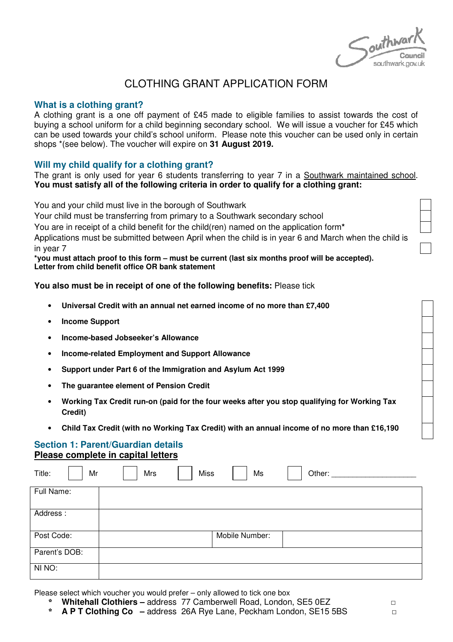Southwar southwark.gov.uk

# CLOTHING GRANT APPLICATION FORM

## **What is a clothing grant?**

A clothing grant is a one off payment of £45 made to eligible families to assist towards the cost of buying a school uniform for a child beginning secondary school. We will issue a voucher for £45 which can be used towards your child's school uniform. Please note this voucher can be used only in certain shops \*(see below). The voucher will expire on **31 August 2019.**

## **Will my child qualify for a clothing grant?**

The grant is only used for year 6 students transferring to year 7 in a Southwark maintained school. **You must satisfy all of the following criteria in order to qualify for a clothing grant:** 

You and your child must live in the borough of Southwark

Your child must be transferring from primary to a Southwark secondary school

You are in receipt of a child benefit for the child(ren) named on the application form**\***

Applications must be submitted between April when the child is in year 6 and March when the child is in year 7

**\*you must attach proof to this form – must be current (last six months proof will be accepted). Letter from child benefit office OR bank statement** 

**You also must be in receipt of one of the following benefits:** Please tick

- **Universal Credit with an annual net earned income of no more than £7,400**
- **Income Support**
- **Income-based Jobseeker's Allowance**
- **Income-related Employment and Support Allowance**
- **Support under Part 6 of the Immigration and Asylum Act 1999**
- **The guarantee element of Pension Credit**
- **Working Tax Credit run-on (paid for the four weeks after you stop qualifying for Working Tax Credit)**
- **Child Tax Credit (with no Working Tax Credit) with an annual income of no more than £16,190**

## **Section 1: Parent/Guardian details Please complete in capital letters**

| Title:<br>Mr  | Mrs | <b>Miss</b> | Ms             | Other: |
|---------------|-----|-------------|----------------|--------|
| Full Name:    |     |             |                |        |
| Address:      |     |             |                |        |
| Post Code:    |     |             | Mobile Number: |        |
| Parent's DOB: |     |             |                |        |
| NI NO:        |     |             |                |        |

Please select which voucher you would prefer – only allowed to tick one box

- \* **Whitehall Clothiers** address 77 Camberwell Road, London, SE5 0EZ □
- \* **A P T Clothing Co –** address 26A Rye Lane, Peckham London, SE15 5BS □